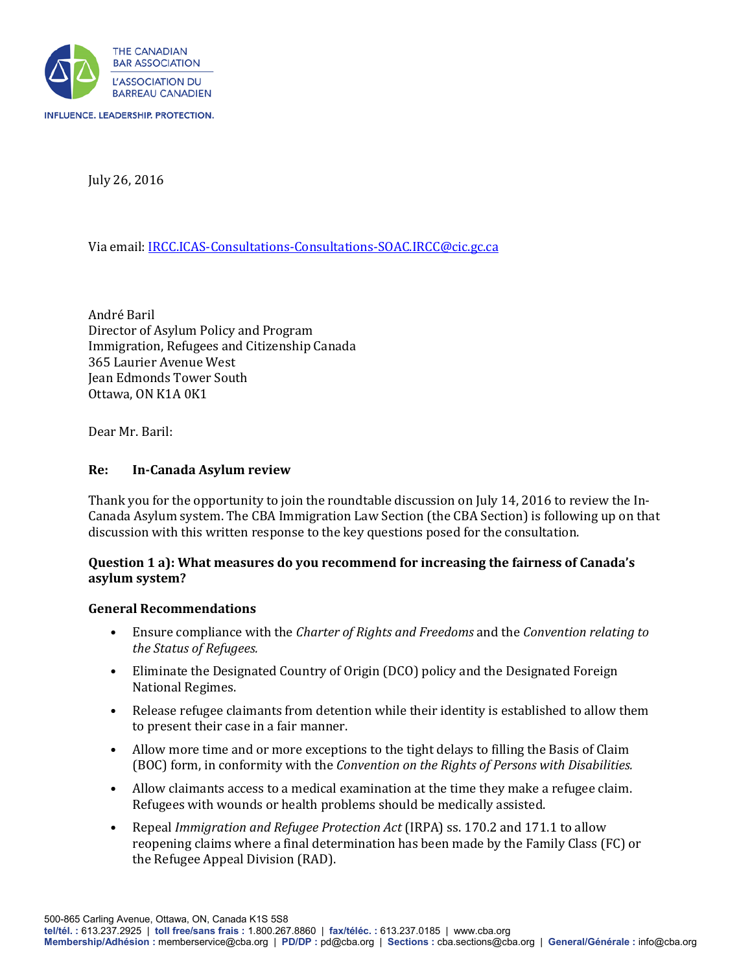

July 26, 2016

Via email[: IRCC.ICAS-Consultations-Consultations-SOAC.IRCC@cic.gc.ca](mailto:IRCC.ICAS-Consultations-Consultations-SOAC.IRCC@cic.gc.ca)

André Baril Director of Asylum Policy and Program Immigration, Refugees and Citizenship Canada 365 Laurier Avenue West Jean Edmonds Tower South Ottawa, ON K1A 0K1

Dear Mr. Baril:

### **Re: In-Canada Asylum review**

Thank you for the opportunity to join the roundtable discussion on July 14, 2016 to review the In-Canada Asylum system. The CBA Immigration Law Section (the CBA Section) is following up on that discussion with this written response to the key questions posed for the consultation.

### **Question 1 a): What measures do you recommend for increasing the fairness of Canada's asylum system?**

#### **General Recommendations**

- Ensure compliance with the *Charter of Rights and Freedoms* and the *Convention relating to the Status of Refugees.*
- Eliminate the Designated Country of Origin (DCO) policy and the Designated Foreign National Regimes.
- Release refugee claimants from detention while their identity is established to allow them to present their case in a fair manner.
- Allow more time and or more exceptions to the tight delays to filling the Basis of Claim (BOC) form, in conformity with the *Convention on the Rights of Persons with Disabilities.*
- Allow claimants access to a medical examination at the time they make a refugee claim. Refugees with wounds or health problems should be medically assisted.
- Repeal *Immigration and Refugee Protection Act* (IRPA) ss. 170.2 and 171.1 to allow reopening claims where a final determination has been made by the Family Class (FC) or the Refugee Appeal Division (RAD).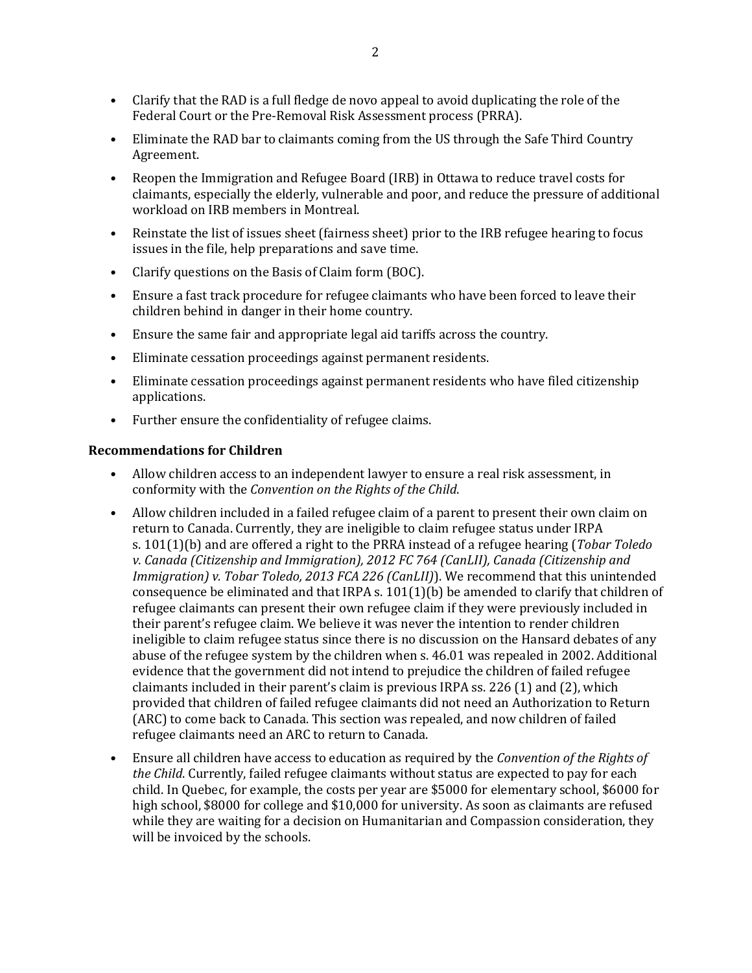- Clarify that the RAD is a full fledge de novo appeal to avoid duplicating the role of the Federal Court or the Pre-Removal Risk Assessment process (PRRA).
- Eliminate the RAD bar to claimants coming from the US through the Safe Third Country Agreement.
- Reopen the Immigration and Refugee Board (IRB) in Ottawa to reduce travel costs for claimants, especially the elderly, vulnerable and poor, and reduce the pressure of additional workload on IRB members in Montreal.
- Reinstate the list of issues sheet (fairness sheet) prior to the IRB refugee hearing to focus issues in the file, help preparations and save time.
- Clarify questions on the Basis of Claim form (BOC).
- Ensure a fast track procedure for refugee claimants who have been forced to leave their children behind in danger in their home country.
- Ensure the same fair and appropriate legal aid tariffs across the country.
- Eliminate cessation proceedings against permanent residents.
- Eliminate cessation proceedings against permanent residents who have filed citizenship applications.
- Further ensure the confidentiality of refugee claims.

### **Recommendations for Children**

- Allow children access to an independent lawyer to ensure a real risk assessment, in conformity with the *Convention on the Rights of the Child*.
- Allow children included in a failed refugee claim of a parent to present their own claim on return to Canada. Currently, they are ineligible to claim refugee status under IRPA s. 101(1)(b) and are offered a right to the PRRA instead of a refugee hearing (*Tobar Toledo v. Canada (Citizenship and Immigration), 2012 FC 764 (CanLII), Canada (Citizenship and Immigration) v. Tobar Toledo, 2013 FCA 226 (CanLII)*). We recommend that this unintended consequence be eliminated and that IRPA s. 101(1)(b) be amended to clarify that children of refugee claimants can present their own refugee claim if they were previously included in their parent's refugee claim. We believe it was never the intention to render children ineligible to claim refugee status since there is no discussion on the Hansard debates of any abuse of the refugee system by the children when s. 46.01 was repealed in 2002. Additional evidence that the government did not intend to prejudice the children of failed refugee claimants included in their parent's claim is previous IRPA ss. 226 (1) and (2), which provided that children of failed refugee claimants did not need an Authorization to Return (ARC) to come back to Canada. This section was repealed, and now children of failed refugee claimants need an ARC to return to Canada.
- Ensure all children have access to education as required by the *Convention of the Rights of the Child*. Currently, failed refugee claimants without status are expected to pay for each child. In Quebec, for example, the costs per year are \$5000 for elementary school, \$6000 for high school, \$8000 for college and \$10,000 for university. As soon as claimants are refused while they are waiting for a decision on Humanitarian and Compassion consideration, they will be invoiced by the schools.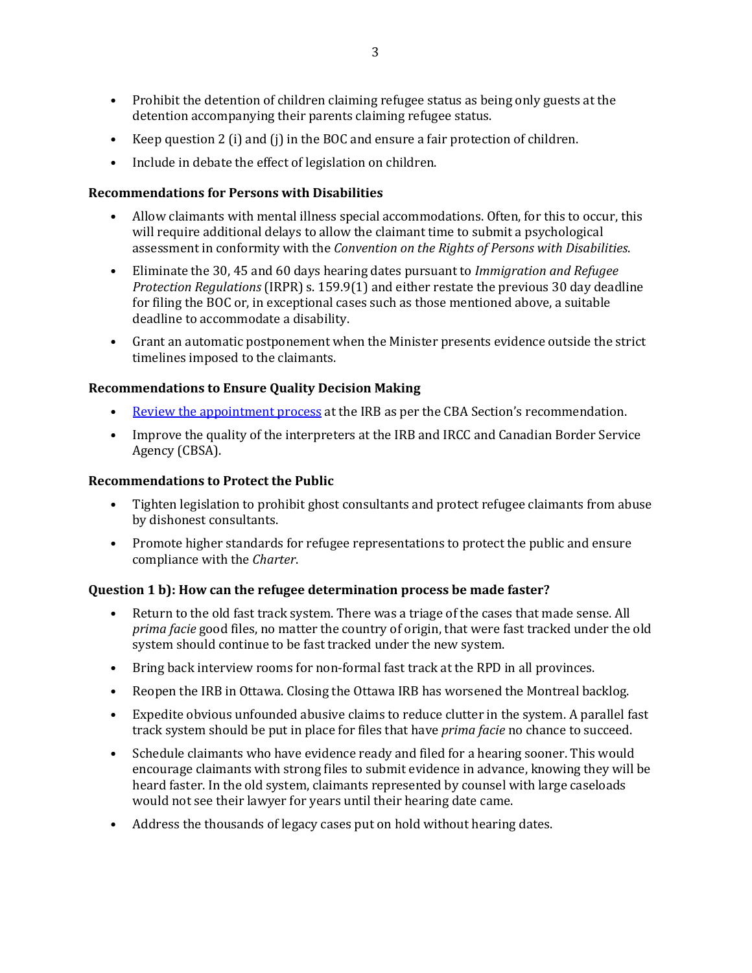- Prohibit the detention of children claiming refugee status as being only guests at the detention accompanying their parents claiming refugee status.
- Keep question 2 (i) and (j) in the BOC and ensure a fair protection of children.
- Include in debate the effect of legislation on children.

# **Recommendations for Persons with Disabilities**

- Allow claimants with mental illness special accommodations. Often, for this to occur, this will require additional delays to allow the claimant time to submit a psychological assessment in conformity with the *Convention on the Rights of Persons with Disabilities*.
- Eliminate the 30, 45 and 60 days hearing dates pursuant to *Immigration and Refugee Protection Regulations* (IRPR) s. 159.9(1) and either restate the previous 30 day deadline for filing the BOC or, in exceptional cases such as those mentioned above, a suitable deadline to accommodate a disability.
- Grant an automatic postponement when the Minister presents evidence outside the strict timelines imposed to the claimants.

### **Recommendations to Ensure Quality Decision Making**

- [Review the appointment process](http://www.cba.org/Our-Work/cbainfluence/Submissions/2016/May/appointments) at the IRB as per the CBA Section's recommendation.
- Improve the quality of the interpreters at the IRB and IRCC and Canadian Border Service Agency (CBSA).

### **Recommendations to Protect the Public**

- Tighten legislation to prohibit ghost consultants and protect refugee claimants from abuse by dishonest consultants.
- Promote higher standards for refugee representations to protect the public and ensure compliance with the *Charter*.

### **Question 1 b): How can the refugee determination process be made faster?**

- Return to the old fast track system. There was a triage of the cases that made sense. All *prima facie* good files, no matter the country of origin, that were fast tracked under the old system should continue to be fast tracked under the new system.
- Bring back interview rooms for non-formal fast track at the RPD in all provinces.
- Reopen the IRB in Ottawa. Closing the Ottawa IRB has worsened the Montreal backlog.
- Expedite obvious unfounded abusive claims to reduce clutter in the system. A parallel fast track system should be put in place for files that have *prima facie* no chance to succeed.
- Schedule claimants who have evidence ready and filed for a hearing sooner. This would encourage claimants with strong files to submit evidence in advance, knowing they will be heard faster. In the old system, claimants represented by counsel with large caseloads would not see their lawyer for years until their hearing date came.
- Address the thousands of legacy cases put on hold without hearing dates.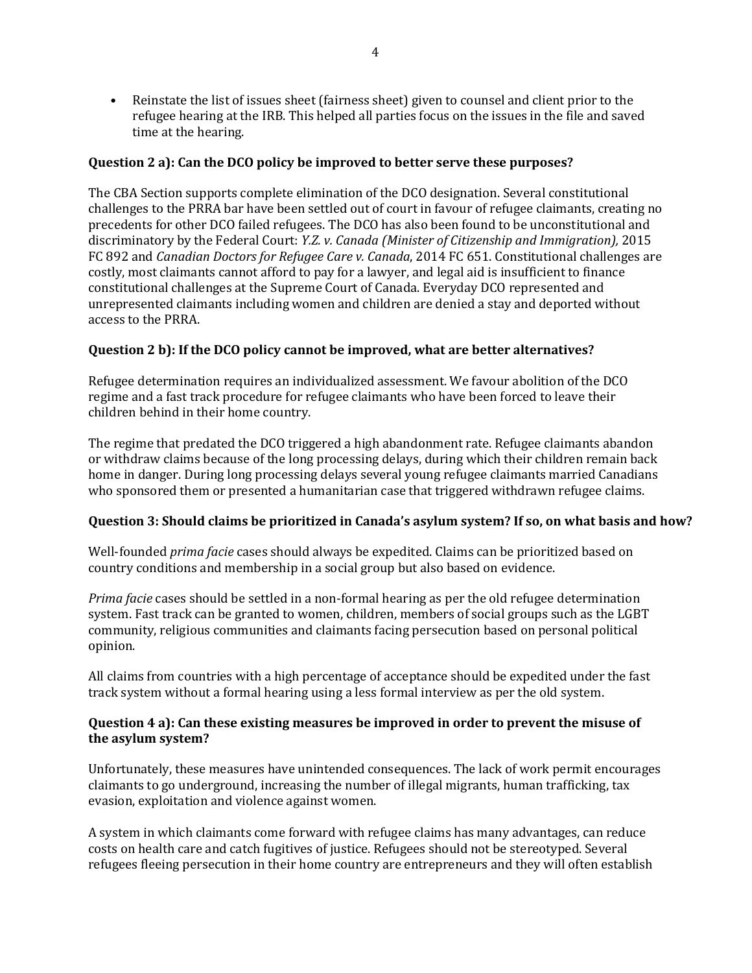• Reinstate the list of issues sheet (fairness sheet) given to counsel and client prior to the refugee hearing at the IRB. This helped all parties focus on the issues in the file and saved time at the hearing.

# **Question 2 a): Can the DCO policy be improved to better serve these purposes?**

The CBA Section supports complete elimination of the DCO designation. Several constitutional challenges to the PRRA bar have been settled out of court in favour of refugee claimants, creating no precedents for other DCO failed refugees. The DCO has also been found to be unconstitutional and discriminatory by the Federal Court: *Y.Z. v. Canada (Minister of Citizenship and Immigration),* 2015 FC 892 and *Canadian Doctors for Refugee Care v. Canada*, 2014 FC 651. Constitutional challenges are costly, most claimants cannot afford to pay for a lawyer, and legal aid is insufficient to finance constitutional challenges at the Supreme Court of Canada. Everyday DCO represented and unrepresented claimants including women and children are denied a stay and deported without access to the PRRA.

# **Question 2 b): If the DCO policy cannot be improved, what are better alternatives?**

Refugee determination requires an individualized assessment. We favour abolition of the DCO regime and a fast track procedure for refugee claimants who have been forced to leave their children behind in their home country.

The regime that predated the DCO triggered a high abandonment rate. Refugee claimants abandon or withdraw claims because of the long processing delays, during which their children remain back home in danger. During long processing delays several young refugee claimants married Canadians who sponsored them or presented a humanitarian case that triggered withdrawn refugee claims.

# **Question 3: Should claims be prioritized in Canada's asylum system? If so, on what basis and how?**

Well-founded *prima facie* cases should always be expedited. Claims can be prioritized based on country conditions and membership in a social group but also based on evidence.

*Prima facie* cases should be settled in a non-formal hearing as per the old refugee determination system. Fast track can be granted to women, children, members of social groups such as the LGBT community, religious communities and claimants facing persecution based on personal political opinion.

All claims from countries with a high percentage of acceptance should be expedited under the fast track system without a formal hearing using a less formal interview as per the old system.

# **Question 4 a): Can these existing measures be improved in order to prevent the misuse of the asylum system?**

Unfortunately, these measures have unintended consequences. The lack of work permit encourages claimants to go underground, increasing the number of illegal migrants, human trafficking, tax evasion, exploitation and violence against women.

A system in which claimants come forward with refugee claims has many advantages, can reduce costs on health care and catch fugitives of justice. Refugees should not be stereotyped. Several refugees fleeing persecution in their home country are entrepreneurs and they will often establish